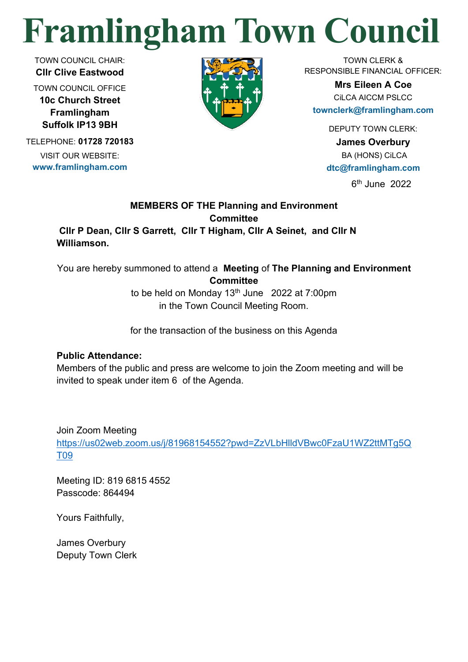# **Framlingham Town Council**

TOWN COUNCIL CHAIR: **Cllr Clive Eastwood**

TOWN COUNCIL OFFICE **10c Church Street Framlingham Suffolk IP13 9BH**

TELEPHONE: **01728 720183** VISIT OUR WEBSITE: **www.framlingham.com**



TOWN CLERK & RESPONSIBLE FINANCIAL OFFICER:

> **Mrs Eileen A Coe** CiLCA AICCM PSLCC

**townclerk@framlingham.com**

DEPUTY TOWN CLERK:

**James Overbury** BA (HONS) CiLCA **dtc@framlingham.com**

6 th June 2022

# **MEMBERS OF THE Planning and Environment Committee**

**Cllr P Dean, Cllr S Garrett, Cllr T Higham, Cllr A Seinet, and Cllr N Williamson.**

You are hereby summoned to attend a **Meeting** of **The Planning and Environment Committee** 

> to be held on Monday  $13<sup>th</sup>$  June 2022 at 7:00pm in the Town Council Meeting Room.

> for the transaction of the business on this Agenda

# **Public Attendance:**

Members of the public and press are welcome to join the Zoom meeting and will be invited to speak under item 6 of the Agenda.

Join Zoom Meeting

[https://us02web.zoom.us/j/81968154552?pwd=ZzVLbHlldVBwc0FzaU1WZ2ttMTg5Q](https://us02web.zoom.us/j/81968154552?pwd=ZzVLbHlldVBwc0FzaU1WZ2ttMTg5QT09) [T09](https://us02web.zoom.us/j/81968154552?pwd=ZzVLbHlldVBwc0FzaU1WZ2ttMTg5QT09)

Meeting ID: 819 6815 4552 Passcode: 864494

Yours Faithfully,

James Overbury Deputy Town Clerk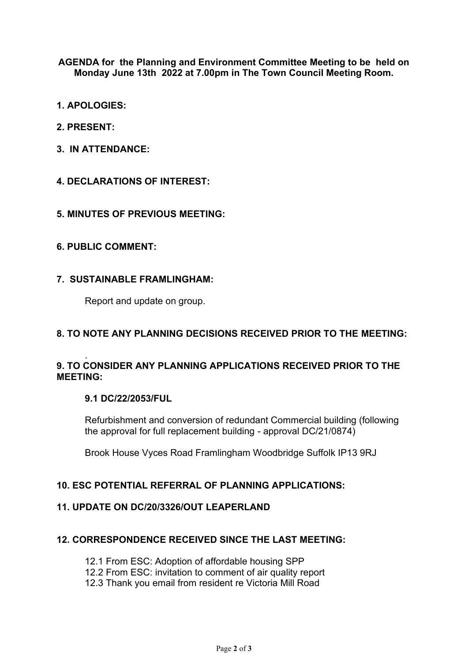**AGENDA for the Planning and Environment Committee Meeting to be held on Monday June 13th 2022 at 7.00pm in The Town Council Meeting Room.**

- **1. APOLOGIES:**
- **2. PRESENT:**
- **3. IN ATTENDANCE:**
- **4. DECLARATIONS OF INTEREST:**

#### **5. MINUTES OF PREVIOUS MEETING:**

#### **6. PUBLIC COMMENT:**

#### **7. SUSTAINABLE FRAMLINGHAM:**

Report and update on group.

#### **8. TO NOTE ANY PLANNING DECISIONS RECEIVED PRIOR TO THE MEETING:**

#### . **9. TO CONSIDER ANY PLANNING APPLICATIONS RECEIVED PRIOR TO THE MEETING:**

#### **9.1 DC/22/2053/FUL**

Refurbishment and conversion of redundant Commercial building (following the approval for full replacement building - approval DC/21/0874)

Brook House Vyces Road Framlingham Woodbridge Suffolk IP13 9RJ

#### **10. ESC POTENTIAL REFERRAL OF PLANNING APPLICATIONS:**

#### **11. UPDATE ON DC/20/3326/OUT LEAPERLAND**

#### **12. CORRESPONDENCE RECEIVED SINCE THE LAST MEETING:**

- 12.1 From ESC: Adoption of affordable housing SPP
- 12.2 From ESC: invitation to comment of air quality report
- 12.3 Thank you email from resident re Victoria Mill Road